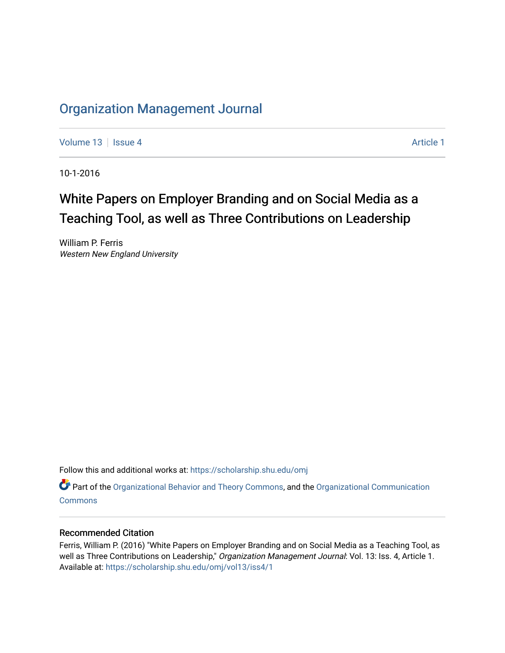## [Organization Management Journal](https://scholarship.shu.edu/omj)

[Volume 13](https://scholarship.shu.edu/omj/vol13) Setup 4 [Article 1](https://scholarship.shu.edu/omj/vol13/iss4/1) Article 1 Article 1 Article 1 Article 1 Article 1 Article 1

10-1-2016

# White Papers on Employer Branding and on Social Media as a Teaching Tool, as well as Three Contributions on Leadership

William P. Ferris Western New England University

Follow this and additional works at: [https://scholarship.shu.edu/omj](https://scholarship.shu.edu/omj?utm_source=scholarship.shu.edu%2Fomj%2Fvol13%2Fiss4%2F1&utm_medium=PDF&utm_campaign=PDFCoverPages) 

Part of the [Organizational Behavior and Theory Commons,](http://network.bepress.com/hgg/discipline/639?utm_source=scholarship.shu.edu%2Fomj%2Fvol13%2Fiss4%2F1&utm_medium=PDF&utm_campaign=PDFCoverPages) and the [Organizational Communication](http://network.bepress.com/hgg/discipline/335?utm_source=scholarship.shu.edu%2Fomj%2Fvol13%2Fiss4%2F1&utm_medium=PDF&utm_campaign=PDFCoverPages) **[Commons](http://network.bepress.com/hgg/discipline/335?utm_source=scholarship.shu.edu%2Fomj%2Fvol13%2Fiss4%2F1&utm_medium=PDF&utm_campaign=PDFCoverPages)** 

### Recommended Citation

Ferris, William P. (2016) "White Papers on Employer Branding and on Social Media as a Teaching Tool, as well as Three Contributions on Leadership," Organization Management Journal: Vol. 13: Iss. 4, Article 1. Available at: [https://scholarship.shu.edu/omj/vol13/iss4/1](https://scholarship.shu.edu/omj/vol13/iss4/1?utm_source=scholarship.shu.edu%2Fomj%2Fvol13%2Fiss4%2F1&utm_medium=PDF&utm_campaign=PDFCoverPages)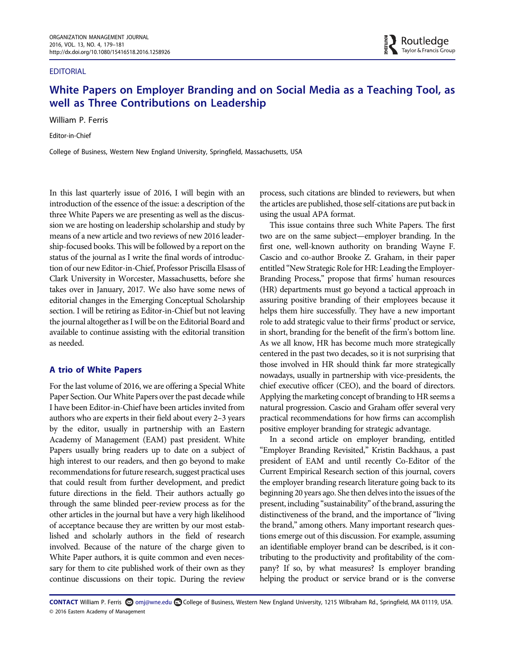#### EDITORIAL

### White Papers on Employer Branding and on Social Media as a Teaching Tool, as well as Three Contributions on Leadership

William P. Ferris

Editor-in-Chief

College of Business, Western New England University, Springfield, Massachusetts, USA

In this last quarterly issue of 2016, I will begin with an introduction of the essence of the issue: a description of the three White Papers we are presenting as well as the discussion we are hosting on leadership scholarship and study by means of a new article and two reviews of new 2016 leadership-focused books. This will be followed by a report on the status of the journal as I write the final words of introduction of our new Editor-in-Chief, Professor Priscilla Elsass of Clark University in Worcester, Massachusetts, before she takes over in January, 2017. We also have some news of editorial changes in the Emerging Conceptual Scholarship section. I will be retiring as Editor-in-Chief but not leaving the journal altogether as I will be on the Editorial Board and available to continue assisting with the editorial transition as needed.

### A trio of White Papers

For the last volume of 2016, we are offering a Special White Paper Section. Our White Papers over the past decade while I have been Editor-in-Chief have been articles invited from authors who are experts in their field about every 2–3 years by the editor, usually in partnership with an Eastern Academy of Management (EAM) past president. White Papers usually bring readers up to date on a subject of high interest to our readers, and then go beyond to make recommendations for future research, suggest practical uses that could result from further development, and predict future directions in the field. Their authors actually go through the same blinded peer-review process as for the other articles in the journal but have a very high likelihood of acceptance because they are written by our most established and scholarly authors in the field of research involved. Because of the nature of the charge given to White Paper authors, it is quite common and even necessary for them to cite published work of their own as they continue discussions on their topic. During the review

process, such citations are blinded to reviewers, but when the articles are published, those self-citations are put back in using the usual APA format.

This issue contains three such White Papers. The first two are on the same subject—employer branding. In the first one, well-known authority on branding Wayne F. Cascio and co-author Brooke Z. Graham, in their paper entitled "New Strategic Role for HR: Leading the Employer-Branding Process," propose that firms' human resources (HR) departments must go beyond a tactical approach in assuring positive branding of their employees because it helps them hire successfully. They have a new important role to add strategic value to their firms' product or service, in short, branding for the benefit of the firm's bottom line. As we all know, HR has become much more strategically centered in the past two decades, so it is not surprising that those involved in HR should think far more strategically nowadays, usually in partnership with vice-presidents, the chief executive officer (CEO), and the board of directors. Applying the marketing concept of branding to HR seems a natural progression. Cascio and Graham offer several very practical recommendations for how firms can accomplish positive employer branding for strategic advantage.

In a second article on employer branding, entitled "Employer Branding Revisited," Kristin Backhaus, a past president of EAM and until recently Co-Editor of the Current Empirical Research section of this journal, covers the employer branding research literature going back to its beginning 20 years ago. She then delves into the issues of the present, including "sustainability" of the brand, assuring the distinctiveness of the brand, and the importance of "living the brand," among others. Many important research questions emerge out of this discussion. For example, assuming an identifiable employer brand can be described, is it contributing to the productivity and profitability of the company? If so, by what measures? Is employer branding helping the product or service brand or is the converse

CONTACT William P. Ferris @ omj@wne.edu @ College of Business, Western New England University, 1215 Wilbraham Rd., Springfield, MA 01119, USA. © 2016 Eastern Academy of Management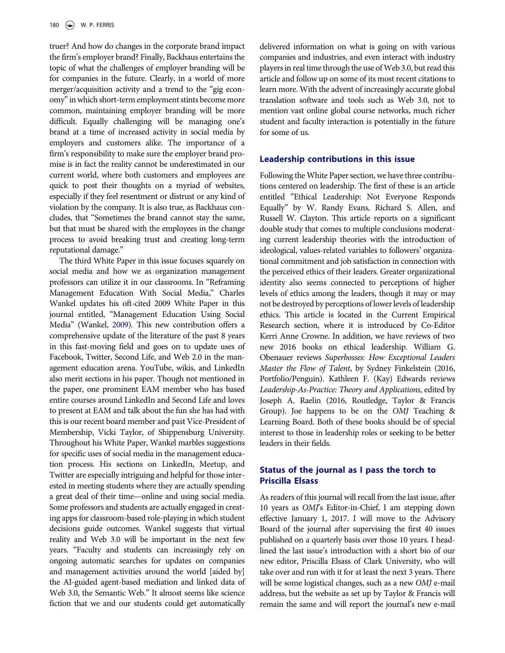truer? And how do changes in the corporate brand impact the firm's employer brand? Finally, Backhaus entertains the topic of what the challenges of employer branding will be for companies in the future. Clearly, in a world of more merger/acquisition activity and a trend to the "gig economy" in which short-term employment stints become more common, maintaining employer branding will be more difficult. Equally challenging will be managing one's brand at a time of increased activity in social media by employers and customers alike. The importance of a firm's responsibility to make sure the employer brand promise is in fact the reality cannot be underestimated in our current world, where both customers and employees are quick to post their thoughts on a myriad of websites, especially if they feel resentment or distrust or any kind of violation by the company. It is also true, as Backhaus concludes, that "Sometimes the brand cannot stay the same, but that must be shared with the employees in the change process to avoid breaking trust and creating long-term reputational damage."

The third White Paper in this issue focuses squarely on social media and how we as organization management professors can utilize it in our classrooms. In "Reframing Management Education With Social Media," Charles Wankel updates his oft-cited 2009 White Paper in this journal entitled, "Management Education Using Social Media" (Wankel, [2009\)](#page-3-0). This new contribution offers a comprehensive update of the literature of the past 8 years in this fast-moving field and goes on to update uses of Facebook, Twitter, Second Life, and Web 2.0 in the management education arena. YouTube, wikis, and LinkedIn also merit sections in his paper. Though not mentioned in the paper, one prominent EAM member who has based entire courses around LinkedIn and Second Life and loves to present at EAM and talk about the fun she has had with this is our recent board member and past Vice-President of Membership, Vicki Taylor, of Shippensburg University. Throughout his White Paper, Wankel marbles suggestions for specific uses of social media in the management education process. His sections on LinkedIn, Meetup, and Twitter are especially intriguing and helpful for those interested in meeting students where they are actually spending a great deal of their time—online and using social media. Some professors and students are actually engaged in creating apps for classroom-based role-playing in which student decisions guide outcomes. Wankel suggests that virtual reality and Web 3.0 will be important in the next few years. "Faculty and students can increasingly rely on ongoing automatic searches for updates on companies and management activities around the world [aided by] the AI-guided agent-based mediation and linked data of Web 3.0, the Semantic Web." It almost seems like science fiction that we and our students could get automatically

delivered information on what is going on with various companies and industries, and even interact with industry players in real time through the use of Web 3.0, but read this article and follow up on some of its most recent citations to learn more. With the advent of increasingly accurate global translation software and tools such as Web 3.0, not to mention vast online global course networks, much richer student and faculty interaction is potentially in the future for some of us.

### Leadership contributions in this issue

Following the White Paper section, we have three contributions centered on leadership. The first of these is an article entitled "Ethical Leadership: Not Everyone Responds Equally" by W. Randy Evans, Richard S. Allen, and Russell W. Clayton. This article reports on a significant double study that comes to multiple conclusions moderating current leadership theories with the introduction of ideological, values-related variables to followers' organizational commitment and job satisfaction in connection with the perceived ethics of their leaders. Greater organizational identity also seems connected to perceptions of higher levels of ethics among the leaders, though it may or may not be destroyed by perceptions of lower levels of leadership ethics. This article is located in the Current Empirical Research section, where it is introduced by Co-Editor Kerri Anne Crowne. In addition, we have reviews of two new 2016 books on ethical leadership. William G. Obenauer reviews Superbosses: How Exceptional Leaders Master the Flow of Talent, by Sydney Finkelstein (2016, Portfolio/Penguin). Kathleen F. (Kay) Edwards reviews Leadership-As-Practice: Theory and Applications, edited by Joseph A. Raelin (2016, Routledge, Taylor & Francis Group). Joe happens to be on the OMJ Teaching & Learning Board. Both of these books should be of special interest to those in leadership roles or seeking to be better leaders in their fields.

### Status of the journal as I pass the torch to Priscilla Elsass

As readers of this journal will recall from the last issue, after 10 years as OMJ's Editor-in-Chief, I am stepping down effective January 1, 2017. I will move to the Advisory Board of the journal after supervising the first 40 issues published on a quarterly basis over those 10 years. I headlined the last issue's introduction with a short bio of our new editor, Priscilla Elsass of Clark University, who will take over and run with it for at least the next 3 years. There will be some logistical changes, such as a new *OMJ* e-mail address, but the website as set up by Taylor & Francis will remain the same and will report the journal's new e-mail